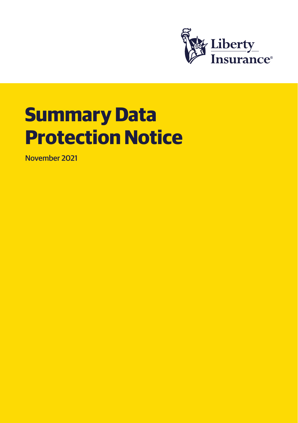

# **Summary Data Protection Notice**

November 2021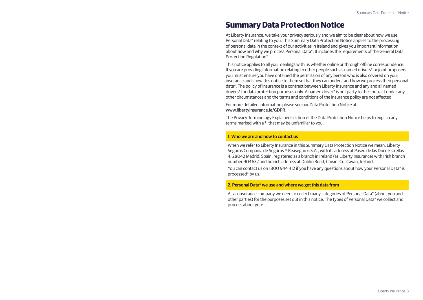# **Summary Data Protection Notice**

At Liberty Insurance, we take your privacy seriously and we aim to be clear about how we use Personal Data\* relating to you. This Summary Data Protection Notice applies to the processing of personal data in the context of our activities in Ireland and gives you important information about how and why we process Personal Data\*. It includes the requirements of the General Data Protection Regulation\*.

This notice applies to all your dealings with us whether online or through offline correspondence. If you are providing information relating to other people such as named drivers\* or joint proposers you must ensure you have obtained the permission of any person who is also covered on your insurance and show this notice to them so that they can understand how we process their personal data\*. The policy of insurance is a contract between Liberty Insurance and any and all named drivers\* for data protection purposes only. A named driver\* is not party to the contract under any other circumstances and the terms and conditions of the insurance policy are not affected.

For more detailed information please see our Data Protection Notice at www.libertyinsurance.ie/GDPR.

The Privacy Terminology Explained section of the Data Protection Notice helps to explain any terms marked with a \*, that may be unfamiliar to you.

#### **1. Who we are and how to contact us**

When we refer to Liberty Insurance in this Summary Data Protection Notice we mean, Liberty Seguros Compania de Seguros Y Reaseguros S.A., with its address at Paseo de las Doce Estrellas 4, 28042 Madrid, Spain, registered as a branch in Ireland (as Liberty Insurance) with Irish branch number 904632 and branch address at Dublin Road, Cavan. Co. Cavan, Ireland.

You can contact us on 1800 944 412 if you have any questions about how your Personal Data\* is processed\* by us.

#### **2. Personal Data\* we use and where we get this data from**

As an insurance company we need to collect many categories of Personal Data\* (about you and other parties) for the purposes set out in this notice. The types of Personal Data\* we collect and process about you: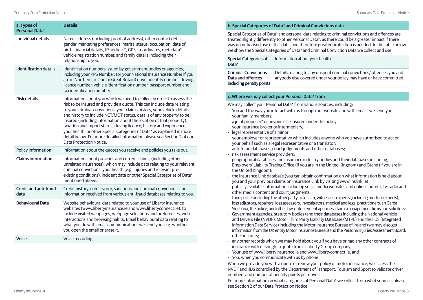| a. Types of<br><b>Personal Data</b>  | <b>Details</b>                                                                                                                                                                                                                                                                                                                                                                                                                                                                                                                                                                                                                     |
|--------------------------------------|------------------------------------------------------------------------------------------------------------------------------------------------------------------------------------------------------------------------------------------------------------------------------------------------------------------------------------------------------------------------------------------------------------------------------------------------------------------------------------------------------------------------------------------------------------------------------------------------------------------------------------|
| Individual details                   | Name, address (including proof of address), other contact details,<br>gender, marketing preferences, marital status, occupation, date of<br>birth, financial details, IP address*, GPS co-ordinates, metadata*,<br>vehicle registration number, and family details including their<br>relationship to you.                                                                                                                                                                                                                                                                                                                         |
| <b>Identification details</b>        | Identification numbers issued by government bodies or agencies,<br>including your PPS Number, (or your National Insurance Number if you<br>are in Northern Ireland or Great Britain) driver identity number, driving<br>licence number, vehicle identification number, passport number and<br>tax identification number.                                                                                                                                                                                                                                                                                                           |
| <b>Risk details</b>                  | Information about you which we need to collect in order to assess the<br>risk to be insured and provide a quote. This can include data relating<br>to your criminal convictions, your claims history, your vehicle details<br>and history to include NCT/MOT status, details of any property to be<br>insured (including information about the location of that property),<br>taxation and import status, driving licence, history and experience,<br>your health, or other Special Categories of Data* as explained in more<br>detail below. For more detailed information please see Section 2 of our<br>Data Protection Notice. |
| <b>Policy information</b>            | Information about the quotes you receive and policies you take out.                                                                                                                                                                                                                                                                                                                                                                                                                                                                                                                                                                |
| <b>Claims information</b>            | Information about previous and current claims, (including other<br>unrelated insurances), which may include data relating to your relevant<br>criminal convictions, your health (e.g. injuries and relevant pre-<br>existing conditions), incident data or other Special Categories of Data*<br>mentioned above.                                                                                                                                                                                                                                                                                                                   |
| <b>Credit and anti-fraud</b><br>data | Credit history, credit score, sanctions and criminal convictions, and<br>information received from various anti-fraud databases relating to you.                                                                                                                                                                                                                                                                                                                                                                                                                                                                                   |
| <b>Behavioural Data</b>              | Website behavioural data related to your use of Liberty Insurance<br>websites (www.libertyinsurance.ie and www.libertyconnect.ie), to<br>include visited webpages, webpage selections and preferences, web<br>interactions and browsing habits. Email behavioural data relating to<br>what you do with email communications we send you, e.g. whether<br>you open the email or erase it.                                                                                                                                                                                                                                           |
| Voice                                | Voice recording.                                                                                                                                                                                                                                                                                                                                                                                                                                                                                                                                                                                                                   |

#### **b. Special Categories of Data\* and Criminal Convictions data**

Special Categories of Data\* and personal data relating to criminal convictions and offences are treated slightly differently to other Personal Data\*, as there could be a greater impact if there was unauthorised use of this data, and therefore greater protection is needed. In the table below we show the Special Categories of Data\* and Criminal Conviction Data we collect and use:

Special Categories of Data\* Information about your health

Criminal Convictions Data and offences including penalty points Details relating to any unspent criminal convictions/ offences you and anybody else covered under your policy may have or have committed.

#### **c. Where we may collect your Personal Data\* from**

We may collect your Personal Data\* from various sources, including:

- You and the way you interact with us through our website and with emails we send you;
- your family members;
- a joint proposer\* or anyone else insured under the policy;
- your insurance broker or intermediary;
- legal representative of a minor;
- your employer or representative which includes anyone who you have authorised to act on your behalf such as a legal representative or a translator;
- anti-fraud databases, court judgements and other databases;
- risk assessment service providers;
- geographical databases and insurance industry bodies and their databases including, Employers' Liability Tracing Office (if you are in the United Kingdom) and Cache (if you are in the United Kingdom);
- the Insurance Link database (you can obtain confirmation on what information is held about you and your previous claims on Insurance Link by visiting www.inslink.ie)
- publicly available information including social media websites and online content, tv, radio and other media content and court judgments;
- third parties including the other party to a claim, witnesses, experts (including medical experts), loss adjustors, repairers, loss assessors, investigators, medical and legal practitioners, an Garda Síochána, the police, and other law-enforcement agencies, claims management firms and solicitors;
- Government agencies, statutory bodies (and their databases including the National Vehicle and Drivers File (NVDF), Motor Third Party Liability Database (MTPL) and the IIDS (Integrated Information Data Service) including the Motor Insurance Bureau of Ireland (we may also get information from the UK entity Motor Insurance Bureau) and the Personal Injuries Assessment Board;
- other insurers;
- any other records which we may hold about you if you have or had any other contracts of insurance with or sought a quote from a Liberty Group company;
- Your use of www.libertyinsurance.ie and www.libertyconnect.ie; and
- You, when you communicate with us by phone.

When we provide you with a quote or renew your policy of motor insurance, we access the NVDF and IIDS controlled by the Department of Transport, Tourism and Sport to validate driver numbers and number of penalty points per driver.

For more information on what categories of Personal Data\* we collect from what sources, please see Section 2 of our Data Protection Notice.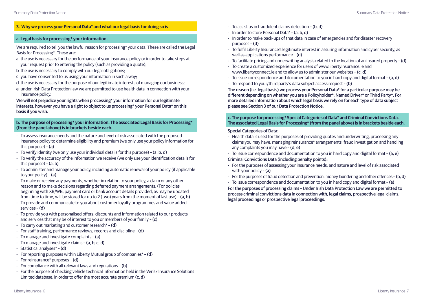# **3. Why we process your Personal Data\* and what our legal basis for doing so is**

#### **a. Legal basis for processing\* your information.**

We are required to tell you the lawful reason for processing\* your data. These are called the Legal Basis for Processing\*. These are:

- a the use is necessary for the performance of your insurance policy or in order to take steps at your request prior to entering the policy (such as providing a quote);
- b the use is necessary to comply with our legal obligations;
- c you have consented to us using your information in such a way;
- d the use is necessary for the purpose of our legitimate interests of managing our business;
- e under Irish Data Protection law we are permitted to use health data in connection with your insurance policy.

We will not prejudice your rights when processing\* your information for our legitimate interests, however you have a right to object to us processing\* your Personal Data\* on this basis if you wish.

#### **b. The purpose of processing\* your information. The associated Legal Basis for Processing\* (from the panel above) is in brackets beside each.**

- To assess insurance needs and the nature and level of risk associated with the proposed insurance policy to determine eligibility and premium (we only use your policy information for this purpose) – (a)
- To verify identity (we only use your individual details for this purpose) (a, b, d)
- To verify the accuracy of the information we receive (we only use your identification details for this purpose) – (a, b)
- To administer and manage your policy, including automatic renewal of your policy (if applicable to your policy) – (a)
- To make or receive any payments, whether in relation to your policy, a claim or any other reason and to make decisions regarding deferred payment arrangements, (For policies beginning with XB/WB, payment card or bank account details provided, as may be updated from time to time, will be stored for up to 2 (two) years from the moment of last use) – (a, b)
- To provide and communicate to you about customer loyalty programmes and value added services – (d)
- To provide you with personalised offers, discounts and information related to our products and services that may be of interest to you or members of your family – (c)
- To carry out marketing and customer research\* (d)
- For staff training, performance reviews, records and discipline (d)
- To manage and investigate complaints (a)
- To manage and investigate claims (a, b, c, d)
- Statistical analyses\* (d)
- For reporting purposes within Liberty Mutual group of companies\* (d)
- For reinsurance\* purposes (d)
- For compliance with all relevant laws and regulations (b)
- For the purpose of checking vehicle technical information held in the Verisk Insurance Solutions Limited database, in order to offer the most accurate premium (c, d)
- To assist us in fraudulent claims detection (b, d)
- In order to store Personal Data\* (a, b, d)
- In order to make back-ups of that data in case of emergencies and for disaster recovery purposes – (d)
- To fulfil Liberty Insurance's legitimate interest in assuring information and cyber security, as well as applications performance – (d)
- To facilitate pricing and underwriting analysis related to the location of an insured property (d)
- To create a customized experience for users of www.libertyinsurance.ie and www.libertyconnect.ie and to allow us to administer our websites – (c, d)
- To issue correspondence and documentation to you in hard copy and digital format (a, d)
- To respond to your/third party's data subject access request (b)

The reason (i.e. legal basis) we process your Personal Data\* for a particular purpose may be different depending on whether you are a Policyholder\*, Named Driver\* or Third Party\*. For more detailed information about which legal basis we rely on for each type of data subject please see Section 3 of our Data Protection Notice.

#### **c. The purpose for processing\* Special Categories of Data\* and Criminal Convictions Data. The associated Legal Basis for Processing\* (from the panel above) is in brackets beside each.**

#### Special Categories of Data:

- Health data is used for the purposes of providing quotes and underwriting, processing any claims you may have, managing reinsurance\* arrangements, fraud investigation and handling any complaints you may have – (d, e)
- To issue correspondence and documentation to you in hard copy and digital format (a, e)

#### Criminal Convictions Data (including penalty points):

- For the purposes of assessing your insurance needs, and nature and level of risk associated with your policy – (a)
- For the purposes of fraud detection and prevention, money laundering and other offences (b, d)
- To issue correspondence and documentation to you in hard copy and digital format (a)

For the purposes of processing claims – Under Irish Data Protection Law we are permitted to process criminal convictions data in connection with, legal claims, prospective legal claims, legal proceedings or prospective legal proceedings.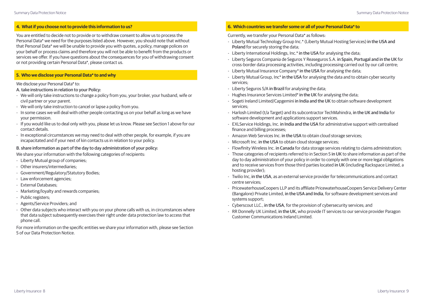## **4. What if you choose not to provide this information to us?**

You are entitled to decide not to provide or to withdraw consent to allow us to process the Personal Data\* we need for the purposes listed above. However, you should note that without that Personal Data\* we will be unable to provide you with quotes, a policy, manage polices on your behalf or process claims and therefore you will not be able to benefit from the products or services we offer. If you have questions about the consequences for you of withdrawing consent or not providing certain Personal Data\*, please contact us.

#### **5. Who we disclose your Personal Data\* to and why**

#### We disclose your Personal Data\* to:

## A. take instructions in relation to your Policy:

- We will only take instructions to change a policy from you, your broker, your husband, wife or civil partner or your parent.
- We will only take instruction to cancel or lapse a policy from you.
- In some cases we will deal with other people contacting us on your behalf as long as we have your permission.
- If you would like us to deal only with you, please let us know. Please see Section 1 above for our contact details.
- In exceptional circumstances we may need to deal with other people, for example, if you are incapacitated and if your next of kin contacts us in relation to your policy.

#### B. share information as part of the day to day administration of your policy:

We share your information with the following categories of recipients:

- Liberty Mutual group of companies;
- Other insurers/intermediaries;
- Government/Regulatory/Statutory Bodies;
- Law enforcement agencies;
- External Databases;
- Marketing/loyalty and rewards companies;
- Public registers;
- Agents/Service Providers; and
- Other data subjects who interact with you on your phone calls with us, in circumstances where that data subject subsequently exercises their right under data protection law to access that phone call.

For more information on the specific entities we share your information with, please see Section 5 of our Data Protection Notice.

# **6. Which countries we transfer some or all of your Personal Data\* to**

Currently, we transfer your Personal Data\* as follows:

- Liberty Mutual Technology Group Inc.\* (Liberty Mutual Hosting Services) in the USA and Poland for securely storing the data;
- Liberty International Holdings, Inc.\* in the USA for analysing the data;
- Liberty Seguros Compania de Seguros Y Reaseguros S.A. in Spain, Portugal and in the UK for cross-border data processing activities, including processing carried out by our call centre;
- Liberty Mutual Insurance Company\* in the USA for analysing the data;
- Liberty Mutual Group, Inc\* in the USA for analysing the data and to obtain cyber security services;
- Liberty Seguros S/A in Brazil for analysing the data;
- Hughes Insurance Services Limited\* in the UK for analysing the data;
- Sogeti Ireland Limited/Capgemini in India and the UK to obtain software development services;
- Harlosh Limited (t/a Target) and its subcontractor TechMahindra, in the UK and India for software development and applications support services.
- EXLService Holdings, Inc. in India and the USA for administrative support with centralised finance and billing processes;
- Amazon Web Services Inc. in the USA to obtain cloud storage services;
- Microsoft Inc. in the USA to obtain cloud storage services;
- Flowfinity Wireless Inc. in Canada for data storage services relating to claims administration;
- Those categories of recipients referred to in Section 5 in UK to share information as part of the day to day administration of your policy in order to comply with one or more legal obligations and to receive services from those third parties located in UK (including Rackspace Limited, a hosting provider);
- Twilio Inc, in the USA, as an external service provider for telecommunications and contact centre services;
- PricewaterhouseCoopers LLP and its affiliate PricewaterhouseCoopers Service Delivery Center (Bangalore) Private Limited, in the USA and India, for software development services and systems support;
- Cyberscout LLC., in the USA, for the provision of cybersecurity services; and
- RR Donnelly UK Limited, in the UK, who provide IT services to our service provider Paragon Customer Communications Ireland Limited.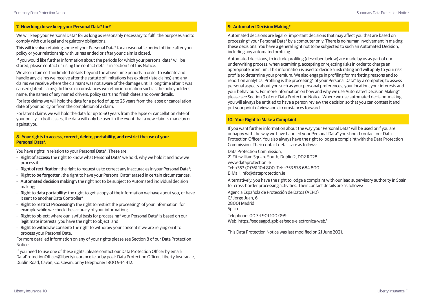We will keep your Personal Data\* for as long as reasonably necessary to fulfil the purposes and to comply with our legal and regulatory obligations.

This will involve retaining some of your Personal Data\* for a reasonable period of time after your policy or your relationship with us has ended or after your claim is closed.

If you would like further information about the periods for which your personal data\* will be stored, please contact us using the contact details in section 1 of this Notice.

We also retain certain limited details beyond the above time periods in order to validate and handle any claims we receive after the statute of limitations has expired (late claims) and any claims we receive where the claimant was not aware of the damage until a long time after it was caused (latent claims). In these circumstances we retain information such as the policyholder's name, the names of any named drivers, policy start and finish dates and cover details.

For late claims we will hold the data for a period of up to 25 years from the lapse or cancellation date of your policy or from the completion of a claim.

For latent claims we will hold the data for up to 60 years from the lapse or cancellation date of your policy. In both cases, the data will only be used in the event that a new claim is made by or against you.

#### **8. Your rights to access, correct, delete, portability, and restrict the use of your Personal Data\*.**

You have rights in relation to your Personal Data\*. These are:

- Right of access: the right to know what Personal Data\* we hold, why we hold it and how we process it;
- Right of rectification: the right to request us to correct any inaccuracies in your Personal Data\*;
- Right to be forgotten: the right to have your Personal Data\* erased in certain circumstances;
- Automated decision making\*: the right not to be subject to Automated individual decision making;
- Right to data portability: the right to get a copy of the information we have about you, or have it sent to another Data Controller\*;
- Right to restrict Processing\*: the right to restrict the processing\* of your information, for example while we check the accuracy of your information;
- Right to object: where our lawful basis for processing\* your Personal Data\* is based on our legitimate interests, you have the right to object; and
- Right to withdraw consent: the right to withdraw your consent if we are relying on it to process your Personal Data.

For more detailed information on any of your rights please see Section 8 of our Data Protection Notice.

If you need to use one of these rights, please contact our Data Protection Officer by email: DataProtectionOfficer@libertyinsurance.ie or by post: Data Protection Officer, Liberty Insurance, Dublin Road, Cavan, Co. Cavan, or by telephone: 1800 944 412.

# **9. Automated Decision Making\***

Automated decisions are legal or important decisions that may affect you that are based on processing\* your Personal Data\* by a computer only. There is no human involvement in making these decisions. You have a general right not to be subjected to such an Automated Decision, including any automated profiling.

Automated decisions, to include profiling (described below) are made by us as part of our underwriting process, when examining, accepting or rejecting risks in order to charge an appropriate premium. This information is used to decide a risk rating and will apply to your risk profile to determine your premium. We also engage in profiling for marketing reasons and to report on analytics. Profiling is the processing\* of your Personal Data\* by a computer, to assess personal aspects about you such as your personal preferences, your location, your interests and your behaviours. For more information on how and why we use Automated Decision Making\* please see Section 9 of our Data Protection Notice. Where we use automated decision-making you will always be entitled to have a person review the decision so that you can contest it and put your point of view and circumstances forward.

# **10. Your Right to Make a Complaint**

If you want further information about the way your Personal Data\* will be used or if you are unhappy with the way we have handled your Personal Data\* you should contact our Data Protection Officer. You also always have the right to lodge a complaint with the Data Protection Commission. Their contact details are as follows:

Data Protection Commission, 21 Fitzwilliam Square South, Dublin 2, D02 RD28. www.dataprotection.ie Tel: +353 (0)761 104 800 Tel: +353 578 684 800. E-Mail: info@dataprotection.ie

Alternatively, you have the right to lodge a complaint with our lead supervisory authority in Spain for cross-border processing activities. Their contact details are as follows:

Agencia Española de Protección de Datos (AEPD) C/ Jorge Juan, 6 28001 Madrid Spain Telephone: 00 34 901 100 099 Web: https://sedeagpd.gob.es/sede-electronica-web/

This Data Protection Notice was last modified on 21 June 2021.